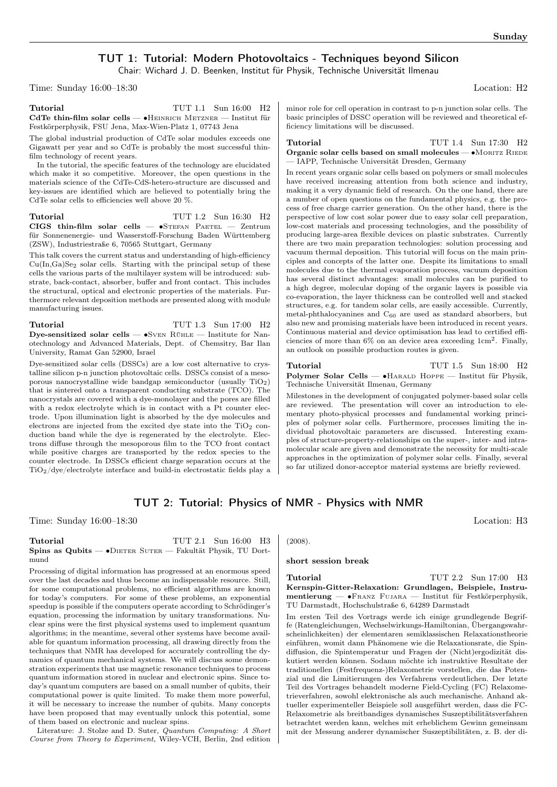# TUT 1: Tutorial: Modern Photovoltaics - Techniques beyond Silicon

Chair: Wichard J. D. Beenken, Institut für Physik, Technische Universität Ilmenau

Time: Sunday 16:00–18:30 Location: H2

Tutorial TUT 1.1 Sun 16:00 H<sub>2</sub> CdTe thin-film solar cells — ∙Heinrich Metzner — Institut für Festkörperphysik, FSU Jena, Max-Wien-Platz 1, 07743 Jena

The global industrial production of CdTe solar modules exceeds one Gigawatt per year and so CdTe is probably the most successful thinfilm technology of recent years.

In the tutorial, the specific features of the technology are elucidated which make it so competitive. Moreover, the open questions in the materials science of the CdTe-CdS-hetero-structure are discussed and key-issues are identified which are believed to potentially bring the CdTe solar cells to efficiencies well above 20 %.

Tutorial TUT 1.2 Sun 16:30 H2 CIGS thin-film solar cells —  $\bullet$ Stefan Paetel — Zentrum für Sonnenenergie- und Wasserstoff-Forschung Baden Württemberg (ZSW), Industriestraße 6, 70565 Stuttgart, Germany

This talk covers the current status and understanding of high-efficiency  $Cu(In,Ga)Se<sub>2</sub> solar cells. Starting with the principal setup of these$ cells the various parts of the multilayer system will be introduced: substrate, back-contact, absorber, buffer and front contact. This includes the structural, optical and electronic properties of the materials. Furthermore relevant deposition methods are presented along with module manufacturing issues.

Tutorial TUT 1.3 Sun 17:00 H<sub>2</sub> Dye-sensitized solar cells — •SvEN RÜHLE — Institute for Nanotechnology and Advanced Materials, Dept. of Chemsitry, Bar Ilan University, Ramat Gan 52900, Israel

Dye-sensitized solar cells (DSSCs) are a low cost alternative to crystalline silicon p-n junction photovoltaic cells. DSSCs consist of a mesoporous nanocrystalline wide bandgap semiconductor (usually TiO2) that is sintered onto a transparent conducting substrate (TCO). The nanocrystals are covered with a dye-monolayer and the pores are filled with a redox electrolyte which is in contact with a Pt counter electrode. Upon illumination light is absorbed by the dye molecules and electrons are injected from the excited dye state into the  $TiO<sub>2</sub>$  conduction band while the dye is regenerated by the electrolyte. Electrons diffuse through the mesoporous film to the TCO front contact while positive charges are transported by the redox species to the counter electrode. In DSSCs efficient charge separation occurs at the TiO2/dye/electrolyte interface and build-in electrostatic fields play a minor role for cell operation in contrast to p-n junction solar cells. The basic principles of DSSC operation will be reviewed and theoretical efficiency limitations will be discussed.

Tutorial TUT 1.4 Sun 17:30 H2 Organic solar cells based on small molecules — •MORITZ RIEDE — IAPP, Technische Universität Dresden, Germany

In recent years organic solar cells based on polymers or small molecules have received increasing attention from both science and industry, making it a very dynamic field of research. On the one hand, there are a number of open questions on the fundamental physics, e.g. the process of free charge carrier generation. On the other hand, there is the perspective of low cost solar power due to easy solar cell preparation, low-cost materials and processing technologies, and the possibility of producing large-area flexible devices on plastic substrates. Currently there are two main preparation technologies: solution processing and vacuum thermal deposition. This tutorial will focus on the main principles and concepts of the latter one. Despite its limitations to small molecules due to the thermal evaporation process, vacuum deposition has several distinct advantages: small molecules can be purified to a high degree, molecular doping of the organic layers is possible via co-evaporation, the layer thickness can be controlled well and stacked structures, e.g. for tandem solar cells, are easily accessible. Currently, metal-phthalocyanines and  $C_{60}$  are used as standard absorbers, but also new and promising materials have been introduced in recent years. Continuous material and device optimisation has lead to certified efficiencies of more than  $6\%$  on an device area exceeding  $1 \text{cm}^2$ . Finally, an outlook on possible production routes is given.

Tutorial TUT 1.5 Sun 18:00 H2 Polymer Solar Cells — •HARALD HOPPE — Institut für Physik, Technische Universität Ilmenau, Germany

Milestones in the development of conjugated polymer-based solar cells are reviewed. The presentation will cover an introduction to elementary photo-physical processes and fundamental working principles of polymer solar cells. Furthermore, processes limiting the individual photovoltaic parameters are discussed. Interesting examples of structure-property-relationships on the super-, inter- and intramolecular scale are given and demonstrate the necessity for multi-scale approaches in the optimization of polymer solar cells. Finally, several so far utilized donor-acceptor material systems are briefly reviewed.

## TUT 2: Tutorial: Physics of NMR - Physics with NMR

Time: Sunday 16:00–18:30 Location: H3

### Tutorial TUT 2.1 Sun 16:00 H3 Spins as Qubits — •DIETER SUTER — Fakultät Physik, TU Dortmund

Processing of digital information has progressed at an enormous speed over the last decades and thus become an indispensable resource. Still, for some computational problems, no efficient algorithms are known for today's computers. For some of these problems, an exponential speedup is possible if the computers operate according to Schrödinger's equation, processing the information by unitary transformations. Nuclear spins were the first physical systems used to implement quantum algorithms; in the meantime, several other systems have become available for quantum information processing, all drawing directly from the techniques that NMR has developed for accurately controlling the dynamics of quantum mechanical systems. We will discuss some demonstration experiments that use magnetic resonance techniques to process quantum information stored in nuclear and electronic spins. Since today's quantum computers are based on a small number of qubits, their computational power is quite limited. To make them more powerful, it will be necessary to increase the number of qubits. Many concepts have been proposed that may eventually unlock this potential, some of them based on electronic and nuclear spins.

Literature: J. Stolze and D. Suter, Quantum Computing: A Short Course from Theory to Experiment, Wiley-VCH, Berlin, 2nd edition

(2008).

### short session break

### Tutorial TUT 2.2 Sun 17:00 H3 Kernspin-Gitter-Relaxation: Grundlagen, Beispiele, Instrumentierung — ∙Franz Fujara — Institut für Festkörperphysik, TU Darmstadt, Hochschulstraße 6, 64289 Darmstadt

Im ersten Teil des Vortrags werde ich einige grundlegende Begriffe (Ratengleichungen, Wechselwirkungs-Hamiltonian, Übergangswahrscheinlichkeiten) der elementaren semiklassischen Relaxationstheorie einführen, womit dann Phänomene wie die Relaxationsrate, die Spindiffusion, die Spintemperatur und Fragen der (Nicht)ergodizität diskutiert werden können. Sodann möchte ich instruktive Resultate der traditionellen (Festfrequenz-)Relaxometrie vorstellen, die das Potenzial und die Limitierungen des Verfahrens verdeutlichen. Der letzte Teil des Vortrages behandelt moderne Field-Cycling (FC) Relaxometrieverfahren, sowohl elektronische als auch mechanische. Anhand aktueller experimenteller Beispiele soll ausgeführt werden, dass die FC-Relaxometrie als breitbandiges dynamisches Suszeptibilitätsverfahren betrachtet werden kann, welches mit erheblichem Gewinn gemeinsam mit der Messung anderer dynamischer Suszeptibilitäten, z. B. der di-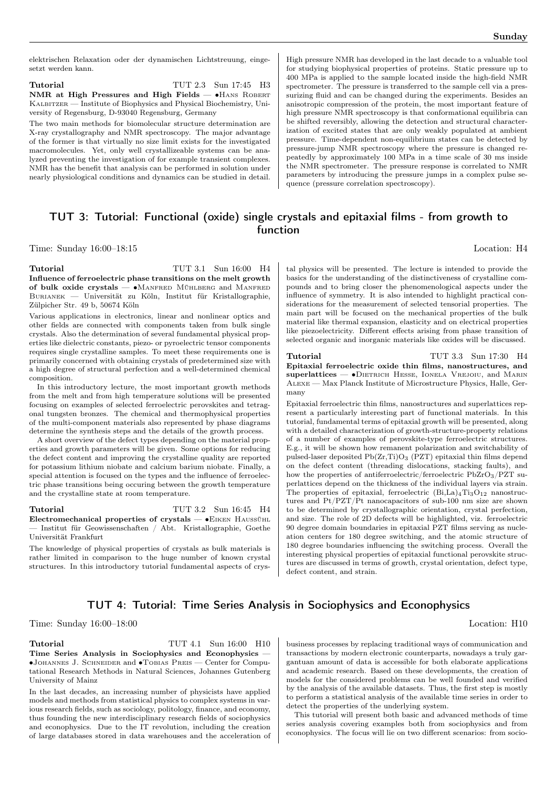elektrischen Relaxation oder der dynamischen Lichtstreuung, eingesetzt werden kann.

Tutorial TUT 2.3 Sun 17:45 H3 NMR at High Pressures and High Fields — • HANS ROBERT Kalbitzer — Institute of Biophysics and Physical Biochemistry, University of Regensburg, D-93040 Regensburg, Germany

The two main methods for biomolecular structure determination are X-ray crystallography and NMR spectroscopy. The major advantage of the former is that virtually no size limit exists for the investigated macromolecules. Yet, only well crystallizeable systems can be analyzed preventing the investigation of for example transient complexes. NMR has the benefit that analysis can be performed in solution under nearly physiological conditions and dynamics can be studied in detail.

High pressure NMR has developed in the last decade to a valuable tool for studying biophysical properties of proteins. Static pressure up to 400 MPa is applied to the sample located inside the high-field NMR spectrometer. The pressure is transferred to the sample cell via a pressurizing fluid and can be changed during the experiments. Besides an anisotropic compression of the protein, the most important feature of high pressure NMR spectroscopy is that conformational equilibria can be shifted reversibly, allowing the detection and structural characterization of excited states that are only weakly populated at ambient pressure. Time-dependent non-equilibrium states can be detected by pressure-jump NMR spectroscopy where the pressure is changed repeatedly by approximately 100 MPa in a time scale of 30 ms inside the NMR spectrometer. The pressure response is correlated to NMR parameters by introducing the pressure jumps in a complex pulse sequence (pressure correlation spectroscopy).

# TUT 3: Tutorial: Functional (oxide) single crystals and epitaxial films - from growth to function

Time: Sunday 16:00–18:15 Location: H4

Tutorial TUT 3.1 Sun 16:00 H4 Influence of ferroelectric phase transitions on the melt growth of bulk oxide crystals — ∙Manfred Mühlberg and Manfred Burianek — Universität zu Köln, Institut für Kristallographie, Zülpicher Str. 49 b, 50674 Köln

Various applications in electronics, linear and nonlinear optics and other fields are connected with components taken from bulk single crystals. Also the determination of several fundamental physical properties like dielectric constants, piezo- or pyroelectric tensor components requires single crystalline samples. To meet these requirements one is primarily concerned with obtaining crystals of predetermined size with a high degree of structural perfection and a well-determined chemical composition.

In this introductory lecture, the most important growth methods from the melt and from high temperature solutions will be presented focusing on examples of selected ferroelectric perovskites and tetragonal tungsten bronzes. The chemical and thermophysical properties of the multi-component materials also represented by phase diagrams determine the synthesis steps and the details of the growth process.

A short overview of the defect types depending on the material properties and growth parameters will be given. Some options for reducing the defect content and improving the crystalline quality are reported for potassium lithium niobate and calcium barium niobate. Finally, a special attention is focused on the types and the influence of ferroelectric phase transitions being occuring between the growth temperature and the crystalline state at room temperature.

Tutorial TUT 3.2 Sun 16:45 H4 Electromechanical properties of crystals — ∙Eiken Haussühl — Institut für Geowissenschaften / Abt. Kristallographie, Goethe Universität Frankfurt

The knowledge of physical properties of crystals as bulk materials is rather limited in comparison to the huge number of known crystal structures. In this introductory tutorial fundamental aspects of crys-

tal physics will be presented. The lecture is intended to provide the basics for the understanding of the distinctiveness of crystalline compounds and to bring closer the phenomenological aspects under the influence of symmetry. It is also intended to highlight practical considerations for the measurement of selected tensorial properties. The main part will be focused on the mechanical properties of the bulk material like thermal expansion, elasticity and on electrical properties like piezoelectricity. Different effects arising from phase transition of selected organic and inorganic materials like oxides will be discussed.

## Tutorial TUT 3.3 Sun 17:30 H4

Epitaxial ferroelectric oxide thin films, nanostructures, and superlattices — •DIETRICH HESSE, IONELA VREJOIU, and MARIN Alexe — Max Planck Institute of Microstructure Physics, Halle, Germany

Epitaxial ferroelectric thin films, nanostructures and superlattices represent a particularly interesting part of functional materials. In this tutorial, fundamental terms of epitaxial growth will be presented, along with a detailed characterization of growth-structure-property relations of a number of examples of perovskite-type ferroelectric structures. E.g., it will be shown how remanent polarization and switchability of pulsed-laser deposited  $Pb(Zr,Ti)O_3$  (PZT) epitaxial thin films depend on the defect content (threading dislocations, stacking faults), and how the properties of antiferroelectric/ferroelectric  $PbZrO_3/PZT$  superlattices depend on the thickness of the individual layers via strain. The properties of epitaxial, ferroelectric  $(Bi, La)_{4}Ti_{3}O_{12}$  nanostructures and Pt/PZT/Pt nanocapacitors of sub-100 nm size are shown to be determined by crystallographic orientation, crystal perfection, and size. The role of 2D defects will be highlighted, viz. ferroelectric 90 degree domain boundaries in epitaxial PZT films serving as nucleation centers for 180 degree switching, and the atomic structure of 180 degree boundaries influencing the switching process. Overall the interesting physical properties of epitaxial functional perovskite structures are discussed in terms of growth, crystal orientation, defect type, defect content, and strain.

## TUT 4: Tutorial: Time Series Analysis in Sociophysics and Econophysics

Time: Sunday 16:00–18:00 Location: H10

**Tutorial** TUT 4.1 Sun 16:00 H10 Time Series Analysis in Sociophysics and Econophysics — ∙Johannes J. Schneider and ∙Tobias Preis — Center for Computational Research Methods in Natural Sciences, Johannes Gutenberg University of Mainz

In the last decades, an increasing number of physicists have applied models and methods from statistical physics to complex systems in various research fields, such as sociology, politology, finance, and economy, thus founding the new interdisciplinary research fields of sociophysics and econophysics. Due to the IT revolution, including the creation of large databases stored in data warehouses and the acceleration of

business processes by replacing traditional ways of communication and transactions by modern electronic counterparts, nowadays a truly gargantuan amount of data is accessible for both elaborate applications and academic research. Based on these developments, the creation of models for the considered problems can be well founded and verified by the analysis of the available datasets. Thus, the first step is mostly to perform a statistical analysis of the available time series in order to detect the properties of the underlying system.

This tutorial will present both basic and advanced methods of time series analysis covering examples both from sociophysics and from econophysics. The focus will lie on two different scenarios: from socio